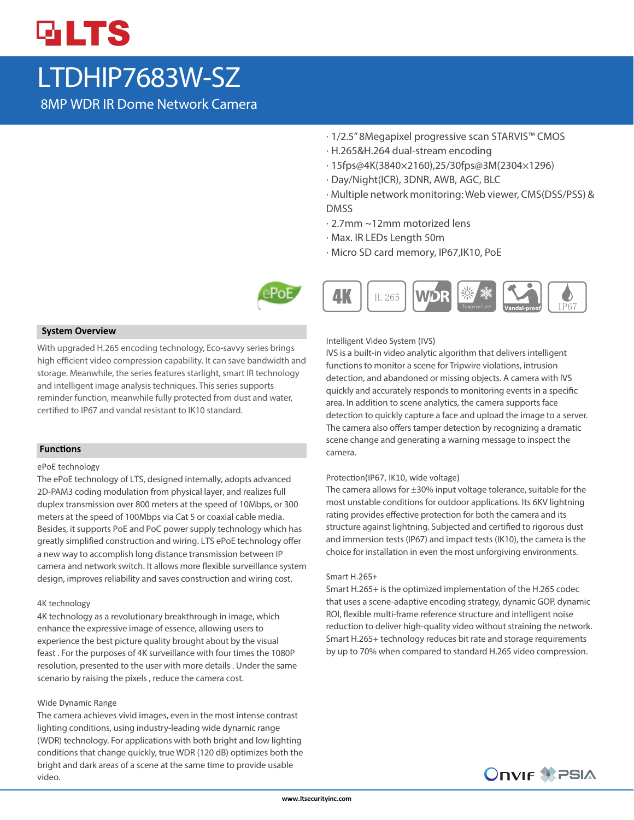# **LTS**

# LTDHIP7683W-SZ

8MP WDR IR Dome Network Camera

- · 1/2.5" 8Megapixel progressive scan STARVIS™ CMOS
- · H.265&H.264 dual-stream encoding
- · 15fps@4K(3840×2160),25/30fps@3M(2304×1296)
- · Day/Night(ICR), 3DNR, AWB, AGC, BLC
- · Multiple network monitoring: Web viewer, CMS(DSS/PSS) & DMSS
- · 2.7mm ~12mm motorized lens
- · Max. IR LEDs Length 50m
- · Micro SD card memory, IP67,IK10, PoE





## **System Overview**

With upgraded H.265 encoding technology, Eco-savvy series brings high efficient video compression capability. It can save bandwidth and storage. Meanwhile, the series features starlight, smart IR technology and intelligent image analysis techniques. This series supports reminder function, meanwhile fully protected from dust and water, certified to IP67 and vandal resistant to IK10 standard.

## **Functions**

## ePoE technology

The ePoE technology of LTS, designed internally, adopts advanced 2D-PAM3 coding modulation from physical layer, and realizes full duplex transmission over 800 meters at the speed of 10Mbps, or 300 meters at the speed of 100Mbps via Cat 5 or coaxial cable media. Besides, it supports PoE and PoC power supply technology which has greatly simplified construction and wiring. LTS ePoE technology offer a new way to accomplish long distance transmission between IP camera and network switch. It allows more flexible surveillance system design, improves reliability and saves construction and wiring cost.

## 4K technology

4K technology as a revolutionary breakthrough in image, which enhance the expressive image of essence, allowing users to experience the best picture quality brought about by the visual feast . For the purposes of 4K surveillance with four times the 1080P resolution, presented to the user with more details . Under the same scenario by raising the pixels , reduce the camera cost.

## Wide Dynamic Range

The camera achieves vivid images, even in the most intense contrast lighting conditions, using industry-leading wide dynamic range (WDR) technology. For applications with both bright and low lighting conditions that change quickly, true WDR (120 dB) optimizes both the bright and dark areas of a scene at the same time to provide usable video.

## Intelligent Video System (IVS)

IVS is a built-in video analytic algorithm that delivers intelligent functions to monitor a scene for Tripwire violations, intrusion detection, and abandoned or missing objects. A camera with IVS quickly and accurately responds to monitoring events in a specific area. In addition to scene analytics, the camera supports face detection to quickly capture a face and upload the image to a server. The camera also offers tamper detection by recognizing a dramatic scene change and generating a warning message to inspect the camera.

## Protection(IP67, IK10, wide voltage)

The camera allows for ±30% input voltage tolerance, suitable for the most unstable conditions for outdoor applications. Its 6KV lightning rating provides effective protection for both the camera and its structure against lightning. Subjected and certified to rigorous dust and immersion tests (IP67) and impact tests (IK10), the camera is the choice for installation in even the most unforgiving environments.

#### Smart H.265+

Smart H.265+ is the optimized implementation of the H.265 codec that uses a scene-adaptive encoding strategy, dynamic GOP, dynamic ROI, flexible multi-frame reference structure and intelligent noise reduction to deliver high-quality video without straining the network. Smart H.265+ technology reduces bit rate and storage requirements by up to 70% when compared to standard H.265 video compression.

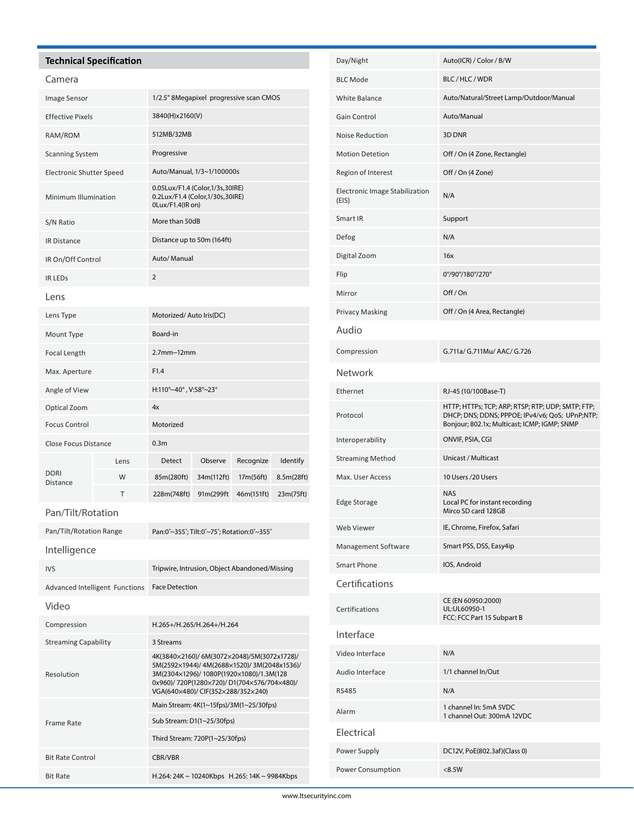# **Technical Specification**

# Camera

| Image Sensor                |                                       | 1/2.5" 8Megapixel progressive scan CMOS                                                                                                                                                                                  |            |            |            |
|-----------------------------|---------------------------------------|--------------------------------------------------------------------------------------------------------------------------------------------------------------------------------------------------------------------------|------------|------------|------------|
| <b>Effective Pixels</b>     |                                       | 3840(H)x2160(V)                                                                                                                                                                                                          |            |            |            |
| RAM/ROM                     |                                       | 512MB/32MB                                                                                                                                                                                                               |            |            |            |
| <b>Scanning System</b>      |                                       | Progressive                                                                                                                                                                                                              |            |            |            |
| Electronic Shutter Speed    |                                       | Auto/Manual, 1/3~1/100000s                                                                                                                                                                                               |            |            |            |
| Minimum Illumination        |                                       | 0.05Lux/F1.4 (Color,1/3s,30IRE)<br>0.2Lux/F1.4 (Color,1/30s,30IRE)<br>0Lux/F1.4(IR on)                                                                                                                                   |            |            |            |
| S/N Ratio                   |                                       | More than 50dB                                                                                                                                                                                                           |            |            |            |
| <b>IR Distance</b>          |                                       | Distance up to 50m (164ft)                                                                                                                                                                                               |            |            |            |
| IR On/Off Control           |                                       | Auto/ Manual                                                                                                                                                                                                             |            |            |            |
| <b>IR LEDS</b>              |                                       | $\overline{2}$                                                                                                                                                                                                           |            |            |            |
| Lens                        |                                       |                                                                                                                                                                                                                          |            |            |            |
| Lens Type                   |                                       | Motorized/Auto Iris(DC)                                                                                                                                                                                                  |            |            |            |
| Mount Type                  |                                       | Board-in                                                                                                                                                                                                                 |            |            |            |
| Focal Length                |                                       | $2.7$ mm $\sim$ 12mm                                                                                                                                                                                                     |            |            |            |
| Max. Aperture               |                                       | F1.4                                                                                                                                                                                                                     |            |            |            |
| Angle of View               |                                       | H:110°~40°, V:58°~23°                                                                                                                                                                                                    |            |            |            |
| Optical Zoom                |                                       | 4x                                                                                                                                                                                                                       |            |            |            |
| <b>Focus Control</b>        |                                       | Motorized                                                                                                                                                                                                                |            |            |            |
| <b>Close Focus Distance</b> |                                       | 0.3 <sub>m</sub>                                                                                                                                                                                                         |            |            |            |
|                             | Lens                                  | Detect                                                                                                                                                                                                                   | Observe    | Recognize  | Identify   |
| <b>DORI</b><br>Distance     | W                                     | 85m(280ft)                                                                                                                                                                                                               | 34m(112ft) | 17m(56ft)  | 8.5m(28ft) |
|                             | т                                     | 228m(748ft)                                                                                                                                                                                                              | 91m(299ft  | 46m(151ft) | 23m(75ft)  |
| Pan/Tilt/Rotation           |                                       |                                                                                                                                                                                                                          |            |            |            |
| Pan/Tilt/Rotation Range     |                                       | Pan:0°~355°; Tilt:0°~75°; Rotation:0°~355°                                                                                                                                                                               |            |            |            |
| Intelligence                |                                       |                                                                                                                                                                                                                          |            |            |            |
| <b>IVS</b>                  |                                       | Tripwire, Intrusion, Object Abandoned/Missing                                                                                                                                                                            |            |            |            |
|                             | <b>Advanced Intelligent Functions</b> | <b>Face Detection</b>                                                                                                                                                                                                    |            |            |            |
| Video                       |                                       |                                                                                                                                                                                                                          |            |            |            |
| Compression                 |                                       | H.265+/H.265/H.264+/H.264                                                                                                                                                                                                |            |            |            |
| <b>Streaming Capability</b> |                                       | 3 Streams                                                                                                                                                                                                                |            |            |            |
| Resolution                  |                                       | 4K(3840×2160)/6M(3072×2048)/5M(3072x1728)/<br>5M(2592×1944)/4M(2688×1520)/3M(2048x1536)/<br>3M(2304×1296)/ 1080P(1920×1080)/1.3M(128<br>0x960)/720P(1280×720)/D1(704×576/704×480)/<br>VGA(640×480)/ CIF(352×288/352×240) |            |            |            |
| Frame Rate                  |                                       | Main Stream: 4K(1~15fps)/3M(1~25/30fps)                                                                                                                                                                                  |            |            |            |
|                             |                                       | Sub Stream: D1(1~25/30fps)                                                                                                                                                                                               |            |            |            |
|                             |                                       | Third Stream: 720P(1~25/30fps)                                                                                                                                                                                           |            |            |            |
| <b>Bit Rate Control</b>     |                                       | CBR/VBR                                                                                                                                                                                                                  |            |            |            |
| <b>Bit Rate</b>             |                                       | H.264: 24K ~ 10240Kbps H.265: 14K ~ 9984Kbps                                                                                                                                                                             |            |            |            |

| Day/Night                               | Auto(ICR) / Color / B/W                                                                                                                              |  |  |  |  |
|-----------------------------------------|------------------------------------------------------------------------------------------------------------------------------------------------------|--|--|--|--|
| <b>BLC Mode</b>                         | BLC/HLC/WDR                                                                                                                                          |  |  |  |  |
| White Balance                           | Auto/Natural/Street Lamp/Outdoor/Manual                                                                                                              |  |  |  |  |
| Gain Control                            | Auto/Manual                                                                                                                                          |  |  |  |  |
| Noise Reduction                         | 3D DNR                                                                                                                                               |  |  |  |  |
| <b>Motion Detetion</b>                  | Off / On (4 Zone, Rectangle)                                                                                                                         |  |  |  |  |
| Region of Interest                      | Off / On (4 Zone)                                                                                                                                    |  |  |  |  |
| Electronic Image Stabilization<br>(EIS) | N/A                                                                                                                                                  |  |  |  |  |
| Smart IR                                | Support                                                                                                                                              |  |  |  |  |
| Defog                                   | N/A                                                                                                                                                  |  |  |  |  |
| Digital Zoom                            | 16x                                                                                                                                                  |  |  |  |  |
| Flip                                    | 0°/90°/180°/270°                                                                                                                                     |  |  |  |  |
| Mirror                                  | Off/On                                                                                                                                               |  |  |  |  |
| <b>Privacy Masking</b>                  | Off / On (4 Area, Rectangle)                                                                                                                         |  |  |  |  |
| Audio                                   |                                                                                                                                                      |  |  |  |  |
| Compression                             | G.711a/ G.711Mu/ AAC/ G.726                                                                                                                          |  |  |  |  |
| Network                                 |                                                                                                                                                      |  |  |  |  |
| Ethernet                                | RJ-45 (10/100Base-T)                                                                                                                                 |  |  |  |  |
| Protocol                                | HTTP; HTTPs; TCP; ARP; RTSP; RTP; UDP; SMTP; FTP;<br>DHCP; DNS; DDNS; PPPOE; IPv4/v6; QoS; UPnP;NTP;<br>Bonjour; 802.1x; Multicast; ICMP; IGMP; SNMP |  |  |  |  |
| Interoperability                        | ONVIF, PSIA, CGI                                                                                                                                     |  |  |  |  |
| <b>Streaming Method</b>                 | Unicast / Multicast                                                                                                                                  |  |  |  |  |
| Max. User Access                        | 10 Users /20 Users                                                                                                                                   |  |  |  |  |
| <b>Edge Storage</b>                     | <b>NAS</b><br>Local PC for instant recording<br>Mirco SD card 128GB                                                                                  |  |  |  |  |
| Web Viewer                              | IE, Chrome, Firefox, Safari                                                                                                                          |  |  |  |  |
| Management Software                     | Smart PSS, DSS, Easy4ip                                                                                                                              |  |  |  |  |
| Smart Phone                             | IOS, Android                                                                                                                                         |  |  |  |  |
| Certifications                          |                                                                                                                                                      |  |  |  |  |
| Certifications                          | CE (EN 60950:2000)<br>UL:UL60950-1<br>FCC: FCC Part 15 Subpart B                                                                                     |  |  |  |  |
| Interface                               |                                                                                                                                                      |  |  |  |  |
| Video Interface                         | N/A                                                                                                                                                  |  |  |  |  |
| Audio Interface                         | 1/1 channel In/Out                                                                                                                                   |  |  |  |  |
| <b>RS485</b>                            | N/A                                                                                                                                                  |  |  |  |  |
| Alarm                                   | 1 channel In: 5mA 5VDC<br>1 channel Out: 300mA 12VDC                                                                                                 |  |  |  |  |
| Electrical                              |                                                                                                                                                      |  |  |  |  |
| Power Supply                            | DC12V, PoE(802.3af)(Class 0)                                                                                                                         |  |  |  |  |
| Power Consumption                       | < 8.5W                                                                                                                                               |  |  |  |  |